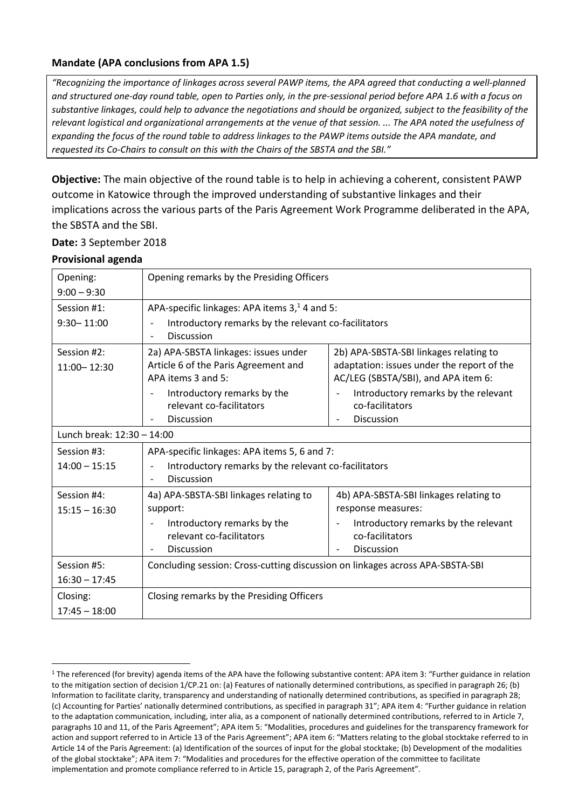# **Mandate (APA conclusions from APA 1.5)**

*"Recognizing the importance of linkages across several PAWP items, the APA agreed that conducting a well-planned and structured one-day round table, open to Parties only, in the pre-sessional period before APA 1.6 with a focus on substantive linkages, could help to advance the negotiations and should be organized, subject to the feasibility of the relevant logistical and organizational arrangements at the venue of that session. ... The APA noted the usefulness of expanding the focus of the round table to address linkages to the PAWP items outside the APA mandate, and requested its Co-Chairs to consult on this with the Chairs of the SBSTA and the SBI."*

**Objective:** The main objective of the round table is to help in achieving a coherent, consistent PAWP outcome in Katowice through the improved understanding of substantive linkages and their implications across the various parts of the Paris Agreement Work Programme deliberated in the APA, the SBSTA and the SBI.

**Date:** 3 September 2018

## **Provisional agenda**

1

| Opening:                       | Opening remarks by the Presiding Officers                                                          |                                                                                                                             |
|--------------------------------|----------------------------------------------------------------------------------------------------|-----------------------------------------------------------------------------------------------------------------------------|
| $9:00 - 9:30$                  |                                                                                                    |                                                                                                                             |
| Session #1:                    | APA-specific linkages: APA items 3, <sup>1</sup> 4 and 5:                                          |                                                                                                                             |
| $9:30 - 11:00$                 | Introductory remarks by the relevant co-facilitators<br><b>Discussion</b>                          |                                                                                                                             |
| Session #2:<br>11:00 - 12:30   | 2a) APA-SBSTA linkages: issues under<br>Article 6 of the Paris Agreement and<br>APA items 3 and 5: | 2b) APA-SBSTA-SBI linkages relating to<br>adaptation: issues under the report of the<br>AC/LEG (SBSTA/SBI), and APA item 6: |
|                                | Introductory remarks by the<br>relevant co-facilitators<br>Discussion                              | Introductory remarks by the relevant<br>co-facilitators<br>Discussion<br>$\overline{\phantom{0}}$                           |
| Lunch break: 12:30 - 14:00     |                                                                                                    |                                                                                                                             |
| Session #3:                    | APA-specific linkages: APA items 5, 6 and 7:                                                       |                                                                                                                             |
| $14:00 - 15:15$                | Introductory remarks by the relevant co-facilitators<br><b>Discussion</b>                          |                                                                                                                             |
| Session #4:<br>$15:15 - 16:30$ | 4a) APA-SBSTA-SBI linkages relating to<br>support:                                                 | 4b) APA-SBSTA-SBI linkages relating to<br>response measures:                                                                |
|                                | Introductory remarks by the<br>relevant co-facilitators<br><b>Discussion</b>                       | Introductory remarks by the relevant<br>co-facilitators<br>Discussion                                                       |
| Session #5:                    | Concluding session: Cross-cutting discussion on linkages across APA-SBSTA-SBI                      |                                                                                                                             |
| $16:30 - 17:45$                |                                                                                                    |                                                                                                                             |
| Closing:<br>$17:45 - 18:00$    | Closing remarks by the Presiding Officers                                                          |                                                                                                                             |

<sup>&</sup>lt;sup>1</sup> The referenced (for brevity) agenda items of the APA have the following substantive content: APA item 3: "Further guidance in relation to the mitigation section of decision 1/CP.21 on: (a) Features of nationally determined contributions, as specified in paragraph 26; (b) Information to facilitate clarity, transparency and understanding of nationally determined contributions, as specified in paragraph 28; (c) Accounting for Parties' nationally determined contributions, as specified in paragraph 31"; APA item 4: "Further guidance in relation to the adaptation communication, including, inter alia, as a component of nationally determined contributions, referred to in Article 7, paragraphs 10 and 11, of the Paris Agreement"; APA item 5: "Modalities, procedures and guidelines for the transparency framework for action and support referred to in Article 13 of the Paris Agreement"; APA item 6: "Matters relating to the global stocktake referred to in Article 14 of the Paris Agreement: (a) Identification of the sources of input for the global stocktake; (b) Development of the modalities of the global stocktake"; APA item 7: "Modalities and procedures for the effective operation of the committee to facilitate implementation and promote compliance referred to in Article 15, paragraph 2, of the Paris Agreement".